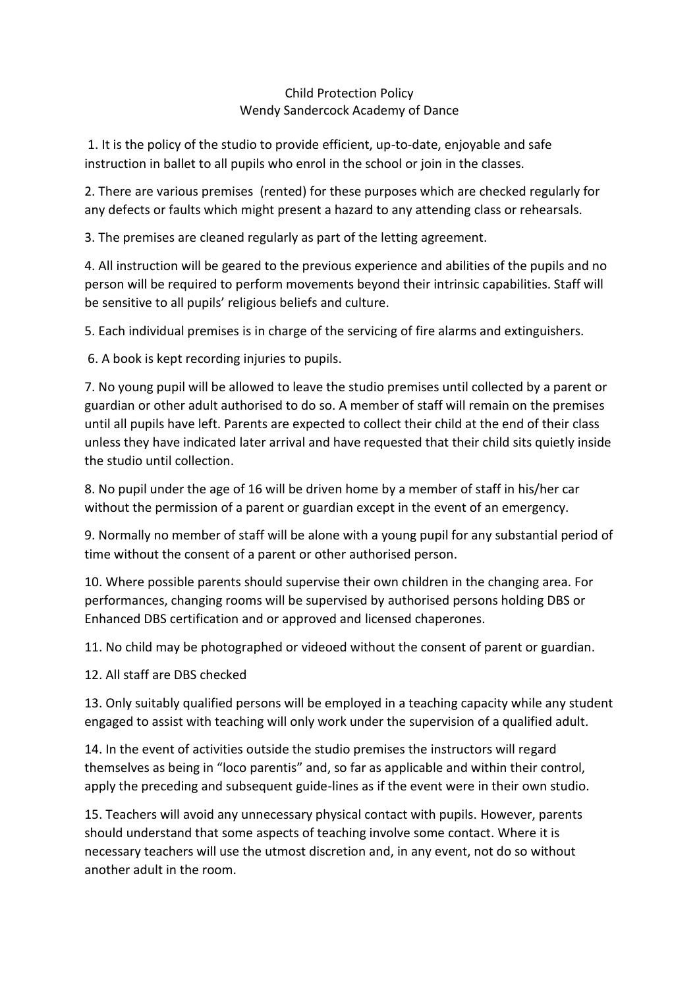## Child Protection Policy Wendy Sandercock Academy of Dance

1. It is the policy of the studio to provide efficient, up-to-date, enjoyable and safe instruction in ballet to all pupils who enrol in the school or join in the classes.

2. There are various premises (rented) for these purposes which are checked regularly for any defects or faults which might present a hazard to any attending class or rehearsals.

3. The premises are cleaned regularly as part of the letting agreement.

4. All instruction will be geared to the previous experience and abilities of the pupils and no person will be required to perform movements beyond their intrinsic capabilities. Staff will be sensitive to all pupils' religious beliefs and culture.

5. Each individual premises is in charge of the servicing of fire alarms and extinguishers.

6. A book is kept recording injuries to pupils.

7. No young pupil will be allowed to leave the studio premises until collected by a parent or guardian or other adult authorised to do so. A member of staff will remain on the premises until all pupils have left. Parents are expected to collect their child at the end of their class unless they have indicated later arrival and have requested that their child sits quietly inside the studio until collection.

8. No pupil under the age of 16 will be driven home by a member of staff in his/her car without the permission of a parent or guardian except in the event of an emergency.

9. Normally no member of staff will be alone with a young pupil for any substantial period of time without the consent of a parent or other authorised person.

10. Where possible parents should supervise their own children in the changing area. For performances, changing rooms will be supervised by authorised persons holding DBS or Enhanced DBS certification and or approved and licensed chaperones.

11. No child may be photographed or videoed without the consent of parent or guardian.

12. All staff are DBS checked

13. Only suitably qualified persons will be employed in a teaching capacity while any student engaged to assist with teaching will only work under the supervision of a qualified adult.

14. In the event of activities outside the studio premises the instructors will regard themselves as being in "loco parentis" and, so far as applicable and within their control, apply the preceding and subsequent guide-lines as if the event were in their own studio.

15. Teachers will avoid any unnecessary physical contact with pupils. However, parents should understand that some aspects of teaching involve some contact. Where it is necessary teachers will use the utmost discretion and, in any event, not do so without another adult in the room.